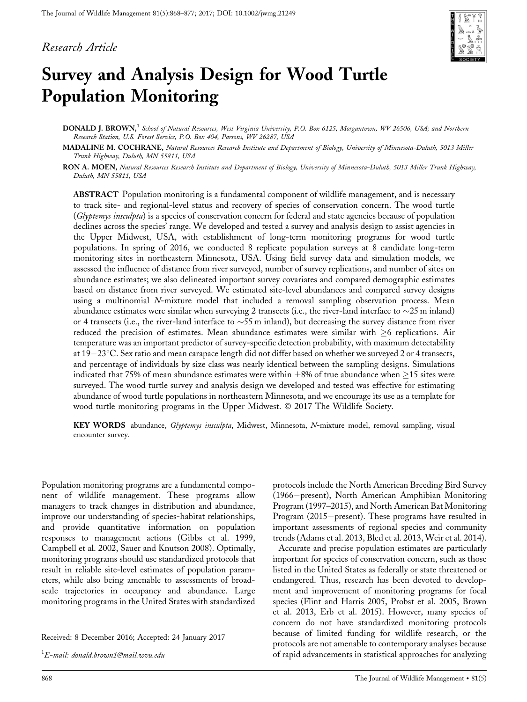### Research Article



# Survey and Analysis Design for Wood Turtle Population Monitoring

DONALD J. BROWN,<sup>1</sup> School of Natural Resources, West Virginia University, P.O. Box 6125, Morgantown, WV 26506, USA; and Northern Research Station, U.S. Forest Service, P.O. Box 404, Parsons, WV 26287, USA

MADALINE M. COCHRANE, Natural Resources Research Institute and Department of Biology, University of Minnesota-Duluth, 5013 Miller Trunk Highway, Duluth, MN 55811, USA

RON A. MOEN, Natural Resources Research Institute and Department of Biology, University of Minnesota-Duluth, 5013 Miller Trunk Highway, Duluth, MN 55811, USA

ABSTRACT Population monitoring is a fundamental component of wildlife management, and is necessary to track site- and regional-level status and recovery of species of conservation concern. The wood turtle (Glyptemys insculpta) is a species of conservation concern for federal and state agencies because of population declines across the species' range. We developed and tested a survey and analysis design to assist agencies in the Upper Midwest, USA, with establishment of long-term monitoring programs for wood turtle populations. In spring of 2016, we conducted 8 replicate population surveys at 8 candidate long-term monitoring sites in northeastern Minnesota, USA. Using field survey data and simulation models, we assessed the influence of distance from river surveyed, number of survey replications, and number of sites on abundance estimates; we also delineated important survey covariates and compared demographic estimates based on distance from river surveyed. We estimated site-level abundances and compared survey designs using a multinomial N-mixture model that included a removal sampling observation process. Mean abundance estimates were similar when surveying 2 transects (i.e., the river-land interface to  $\sim$ 25 m inland) or 4 transects (i.e., the river-land interface to  $\sim$  55 m inland), but decreasing the survey distance from river reduced the precision of estimates. Mean abundance estimates were similar with  $\geq 6$  replications. Air temperature was an important predictor of survey-specific detection probability, with maximum detectability at  $19-23$ °C. Sex ratio and mean carapace length did not differ based on whether we surveyed 2 or 4 transects, and percentage of individuals by size class was nearly identical between the sampling designs. Simulations indicated that 75% of mean abundance estimates were within  $\pm 8\%$  of true abundance when  $\geq 15$  sites were surveyed. The wood turtle survey and analysis design we developed and tested was effective for estimating abundance of wood turtle populations in northeastern Minnesota, and we encourage its use as a template for wood turtle monitoring programs in the Upper Midwest.  $\odot$  2017 The Wildlife Society.

KEY WORDS abundance, Glyptemys insculpta, Midwest, Minnesota, N-mixture model, removal sampling, visual encounter survey.

Population monitoring programs are a fundamental component of wildlife management. These programs allow managers to track changes in distribution and abundance, improve our understanding of species-habitat relationships, and provide quantitative information on population responses to management actions (Gibbs et al. 1999, Campbell et al. 2002, Sauer and Knutson 2008). Optimally, monitoring programs should use standardized protocols that result in reliable site-level estimates of population parameters, while also being amenable to assessments of broadscale trajectories in occupancy and abundance. Large monitoring programs in the United States with standardized

Received: 8 December 2016; Accepted: 24 January 2017

 $^1E\mbox{-}$ mail: donald.brown1@mail.wvu.edu

protocols include the North American Breeding Bird Survey (1966–present), North American Amphibian Monitoring Program (1997–2015), and North American Bat Monitoring Program  $(2015–present)$ . These programs have resulted in important assessments of regional species and community trends (Adams et al. 2013, Bled et al. 2013, Weir et al. 2014).

Accurate and precise population estimates are particularly important for species of conservation concern, such as those listed in the United States as federally or state threatened or endangered. Thus, research has been devoted to development and improvement of monitoring programs for focal species (Flint and Harris 2005, Probst et al. 2005, Brown et al. 2013, Erb et al. 2015). However, many species of concern do not have standardized monitoring protocols because of limited funding for wildlife research, or the protocols are not amenable to contemporary analyses because of rapid advancements in statistical approaches for analyzing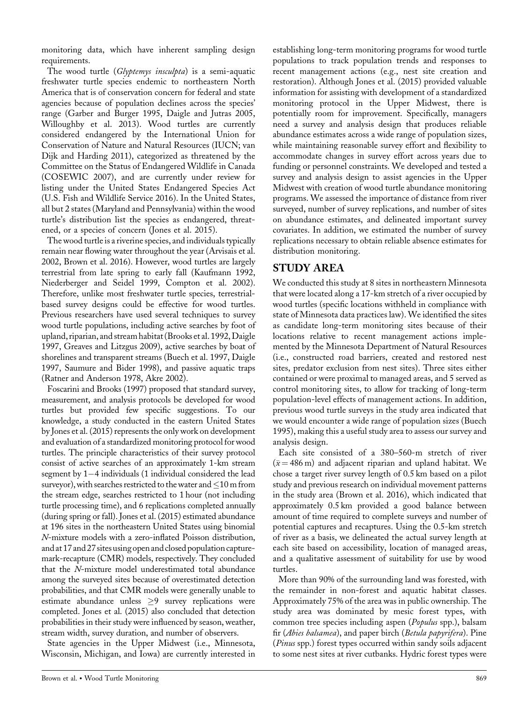monitoring data, which have inherent sampling design requirements.

The wood turtle (Glyptemys insculpta) is a semi-aquatic freshwater turtle species endemic to northeastern North America that is of conservation concern for federal and state agencies because of population declines across the species' range (Garber and Burger 1995, Daigle and Jutras 2005, Willoughby et al. 2013). Wood turtles are currently considered endangered by the International Union for Conservation of Nature and Natural Resources (IUCN; van Dijk and Harding 2011), categorized as threatened by the Committee on the Status of Endangered Wildlife in Canada (COSEWIC 2007), and are currently under review for listing under the United States Endangered Species Act (U.S. Fish and Wildlife Service 2016). In the United States, all but 2 states (Maryland and Pennsylvania) within the wood turtle's distribution list the species as endangered, threatened, or a species of concern (Jones et al. 2015).

The wood turtle is a riverine species, and individuals typically remain near flowing water throughout the year (Arvisais et al. 2002, Brown et al. 2016). However, wood turtles are largely terrestrial from late spring to early fall (Kaufmann 1992, Niederberger and Seidel 1999, Compton et al. 2002). Therefore, unlike most freshwater turtle species, terrestrialbased survey designs could be effective for wood turtles. Previous researchers have used several techniques to survey wood turtle populations, including active searches by foot of upland, riparian, and stream habitat (Brooks et al. 1992,Daigle 1997, Greaves and Litzgus 2009), active searches by boat of shorelines and transparent streams (Buech et al. 1997, Daigle 1997, Saumure and Bider 1998), and passive aquatic traps (Ratner and Anderson 1978, Akre 2002).

Foscarini and Brooks (1997) proposed that standard survey, measurement, and analysis protocols be developed for wood turtles but provided few specific suggestions. To our knowledge, a study conducted in the eastern United States by Jones et al. (2015) represents the only work on development and evaluation of a standardized monitoring protocol for wood turtles. The principle characteristics of their survey protocol consist of active searches of an approximately 1-km stream segment by  $1-4$  individuals  $(1)$  individual considered the lead surveyor), with searches restricted to the water and  $\leq$  10 m from the stream edge, searches restricted to 1 hour (not including turtle processing time), and 6 replications completed annually (during spring or fall). Jones et al. (2015) estimated abundance at 196 sites in the northeastern United States using binomial N-mixture models with a zero-inflated Poisson distribution, and at 17 and 27 sites using open and closed population capturemark-recapture (CMR) models, respectively. They concluded that the N-mixture model underestimated total abundance among the surveyed sites because of overestimated detection probabilities, and that CMR models were generally unable to estimate abundance unless  $\geq 9$  survey replications were completed. Jones et al. (2015) also concluded that detection probabilities in their study were influenced by season, weather, stream width, survey duration, and number of observers.

State agencies in the Upper Midwest (i.e., Minnesota, Wisconsin, Michigan, and Iowa) are currently interested in establishing long-term monitoring programs for wood turtle populations to track population trends and responses to recent management actions (e.g., nest site creation and restoration). Although Jones et al. (2015) provided valuable information for assisting with development of a standardized monitoring protocol in the Upper Midwest, there is potentially room for improvement. Specifically, managers need a survey and analysis design that produces reliable abundance estimates across a wide range of population sizes, while maintaining reasonable survey effort and flexibility to accommodate changes in survey effort across years due to funding or personnel constraints. We developed and tested a survey and analysis design to assist agencies in the Upper Midwest with creation of wood turtle abundance monitoring programs. We assessed the importance of distance from river surveyed, number of survey replications, and number of sites on abundance estimates, and delineated important survey covariates. In addition, we estimated the number of survey replications necessary to obtain reliable absence estimates for distribution monitoring.

## STUDY AREA

We conducted this study at 8 sites in northeastern Minnesota that were located along a 17-km stretch of a river occupied by wood turtles (specific locations withheld in compliance with state of Minnesota data practices law). We identified the sites as candidate long-term monitoring sites because of their locations relative to recent management actions implemented by the Minnesota Department of Natural Resources (i.e., constructed road barriers, created and restored nest sites, predator exclusion from nest sites). Three sites either contained or were proximal to managed areas, and 5 served as control monitoring sites, to allow for tracking of long-term population-level effects of management actions. In addition, previous wood turtle surveys in the study area indicated that we would encounter a wide range of population sizes (Buech 1995), making this a useful study area to assess our survey and analysis design.

Each site consisted of a 380–560-m stretch of river  $(\bar{x} = 486 \text{ m})$  and adjacent riparian and upland habitat. We chose a target river survey length of 0.5 km based on a pilot study and previous research on individual movement patterns in the study area (Brown et al. 2016), which indicated that approximately 0.5 km provided a good balance between amount of time required to complete surveys and number of potential captures and recaptures. Using the 0.5-km stretch of river as a basis, we delineated the actual survey length at each site based on accessibility, location of managed areas, and a qualitative assessment of suitability for use by wood turtles.

More than 90% of the surrounding land was forested, with the remainder in non-forest and aquatic habitat classes. Approximately 75% of the area was in public ownership. The study area was dominated by mesic forest types, with common tree species including aspen (Populus spp.), balsam fir (Abies balsamea), and paper birch (Betula papyrifera). Pine (Pinus spp.) forest types occurred within sandy soils adjacent to some nest sites at river cutbanks. Hydric forest types were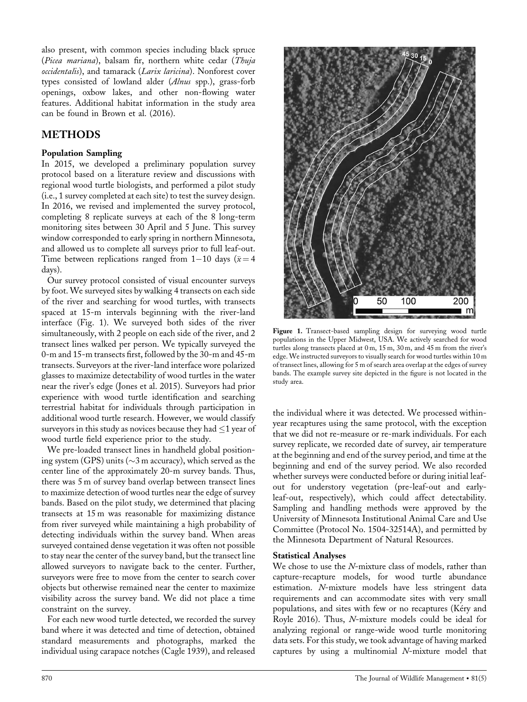also present, with common species including black spruce (Picea mariana), balsam fir, northern white cedar (Thuja occidentalis), and tamarack (Larix laricina). Nonforest cover types consisted of lowland alder (Alnus spp.), grass-forb openings, oxbow lakes, and other non-flowing water features. Additional habitat information in the study area can be found in Brown et al. (2016).

## METHODS

#### Population Sampling

In 2015, we developed a preliminary population survey protocol based on a literature review and discussions with regional wood turtle biologists, and performed a pilot study (i.e., 1 survey completed at each site) to test the survey design. In 2016, we revised and implemented the survey protocol, completing 8 replicate surveys at each of the 8 long-term monitoring sites between 30 April and 5 June. This survey window corresponded to early spring in northern Minnesota, and allowed us to complete all surveys prior to full leaf-out. Time between replications ranged from 1-10 days ( $\bar{x} = 4$ ) days).

Our survey protocol consisted of visual encounter surveys by foot. We surveyed sites by walking 4 transects on each side of the river and searching for wood turtles, with transects spaced at 15-m intervals beginning with the river-land interface (Fig. 1). We surveyed both sides of the river simultaneously, with 2 people on each side of the river, and 2 transect lines walked per person. We typically surveyed the 0-m and 15-m transects first, followed by the 30-m and 45-m transects. Surveyors at the river-land interface wore polarized glasses to maximize detectability of wood turtles in the water near the river's edge (Jones et al. 2015). Surveyors had prior experience with wood turtle identification and searching terrestrial habitat for individuals through participation in additional wood turtle research. However, we would classify surveyors in this study as novices because they had  $\leq$ 1 year of wood turtle field experience prior to the study.

We pre-loaded transect lines in handheld global positioning system (GPS) units ( $\sim$ 3 m accuracy), which served as the center line of the approximately 20-m survey bands. Thus, there was 5 m of survey band overlap between transect lines to maximize detection of wood turtles near the edge of survey bands. Based on the pilot study, we determined that placing transects at 15 m was reasonable for maximizing distance from river surveyed while maintaining a high probability of detecting individuals within the survey band. When areas surveyed contained dense vegetation it was often not possible to stay near the center of the survey band, but the transect line allowed surveyors to navigate back to the center. Further, surveyors were free to move from the center to search cover objects but otherwise remained near the center to maximize visibility across the survey band. We did not place a time constraint on the survey.

For each new wood turtle detected, we recorded the survey band where it was detected and time of detection, obtained standard measurements and photographs, marked the individual using carapace notches (Cagle 1939), and released



Figure 1. Transect-based sampling design for surveying wood turtle populations in the Upper Midwest, USA. We actively searched for wood turtles along transects placed at 0 m, 15 m, 30 m, and 45 m from the river's edge. We instructed surveyors to visually search for wood turtles within 10 m of transect lines, allowing for 5 m of search area overlap at the edges of survey bands. The example survey site depicted in the figure is not located in the study area.

the individual where it was detected. We processed withinyear recaptures using the same protocol, with the exception that we did not re-measure or re-mark individuals. For each survey replicate, we recorded date of survey, air temperature at the beginning and end of the survey period, and time at the beginning and end of the survey period. We also recorded whether surveys were conducted before or during initial leafout for understory vegetation (pre-leaf-out and earlyleaf-out, respectively), which could affect detectability. Sampling and handling methods were approved by the University of Minnesota Institutional Animal Care and Use Committee (Protocol No. 1504-32514A), and permitted by the Minnesota Department of Natural Resources.

#### Statistical Analyses

We chose to use the N-mixture class of models, rather than capture-recapture models, for wood turtle abundance estimation. N-mixture models have less stringent data requirements and can accommodate sites with very small populations, and sites with few or no recaptures (Kéry and Royle 2016). Thus, N-mixture models could be ideal for analyzing regional or range-wide wood turtle monitoring data sets. For this study, we took advantage of having marked captures by using a multinomial N-mixture model that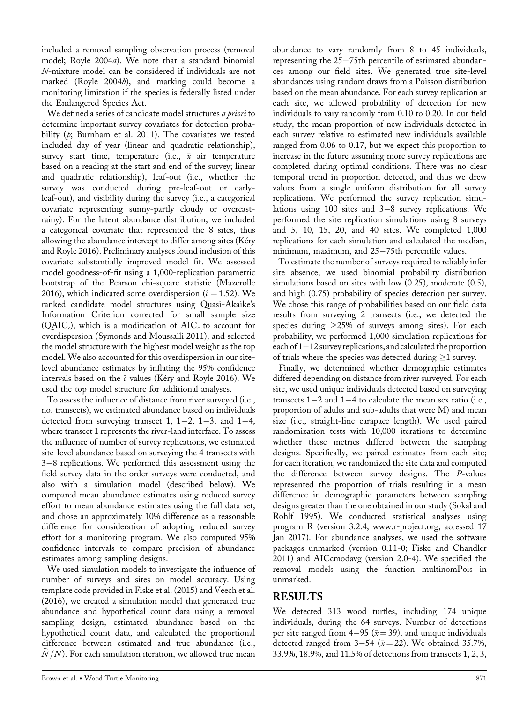included a removal sampling observation process (removal model; Royle 2004a). We note that a standard binomial N-mixture model can be considered if individuals are not marked (Royle 2004b), and marking could become a monitoring limitation if the species is federally listed under the Endangered Species Act.

We defined a series of candidate model structures *a priori* to determine important survey covariates for detection probability  $(p;$  Burnham et al. 2011). The covariates we tested included day of year (linear and quadratic relationship), survey start time, temperature (i.e.,  $\bar{x}$  air temperature based on a reading at the start and end of the survey; linear and quadratic relationship), leaf-out (i.e., whether the survey was conducted during pre-leaf-out or earlyleaf-out), and visibility during the survey (i.e., a categorical covariate representing sunny-partly cloudy or overcastrainy). For the latent abundance distribution, we included a categorical covariate that represented the 8 sites, thus allowing the abundance intercept to differ among sites (Kéry and Royle 2016). Preliminary analyses found inclusion of this covariate substantially improved model fit. We assessed model goodness-of-fit using a 1,000-replication parametric bootstrap of the Pearson chi-square statistic (Mazerolle 2016), which indicated some overdispersion ( $\hat{c} = 1.52$ ). We ranked candidate model structures using Quasi-Akaike's Information Criterion corrected for small sample size (QAIC<sub>c</sub>), which is a modification of  $AIC_c$  to account for overdispersion (Symonds and Moussalli 2011), and selected the model structure with the highest model weight as the top model. We also accounted for this overdispersion in our sitelevel abundance estimates by inflating the 95% confidence intervals based on the  $\hat{c}$  values (Kéry and Royle 2016). We used the top model structure for additional analyses.

To assess the influence of distance from river surveyed (i.e., no. transects), we estimated abundance based on individuals detected from surveying transect 1,  $1-2$ ,  $1-3$ , and  $1-4$ , where transect 1 represents the river-land interface. To assess the influence of number of survey replications, we estimated site-level abundance based on surveying the 4 transects with 3-8 replications. We performed this assessment using the field survey data in the order surveys were conducted, and also with a simulation model (described below). We compared mean abundance estimates using reduced survey effort to mean abundance estimates using the full data set, and chose an approximately 10% difference as a reasonable difference for consideration of adopting reduced survey effort for a monitoring program. We also computed 95% confidence intervals to compare precision of abundance estimates among sampling designs.

We used simulation models to investigate the influence of number of surveys and sites on model accuracy. Using template code provided in Fiske et al. (2015) and Veech et al. (2016), we created a simulation model that generated true abundance and hypothetical count data using a removal sampling design, estimated abundance based on the hypothetical count data, and calculated the proportional difference between estimated and true abundance (i.e., sampling design, estimated abundance based on the hypothetical count data, and calculated the proportional difference between estimated and true abundance (i.e.,  $\hat{N}/N$ ). For each simulation iteration, we allowed true m

abundance to vary randomly from 8 to 45 individuals, representing the  $25-75$ th percentile of estimated abundances among our field sites. We generated true site-level abundances using random draws from a Poisson distribution based on the mean abundance. For each survey replication at each site, we allowed probability of detection for new individuals to vary randomly from 0.10 to 0.20. In our field study, the mean proportion of new individuals detected in each survey relative to estimated new individuals available ranged from 0.06 to 0.17, but we expect this proportion to increase in the future assuming more survey replications are completed during optimal conditions. There was no clear temporal trend in proportion detected, and thus we drew values from a single uniform distribution for all survey replications. We performed the survey replication simulations using  $100$  sites and  $3-8$  survey replications. We performed the site replication simulations using 8 surveys and 5, 10, 15, 20, and 40 sites. We completed 1,000 replications for each simulation and calculated the median, minimum, maximum, and  $25-75$ th percentile values.

To estimate the number of surveys required to reliably infer site absence, we used binomial probability distribution simulations based on sites with low (0.25), moderate (0.5), and high (0.75) probability of species detection per survey. We chose this range of probabilities based on our field data results from surveying 2 transects (i.e., we detected the species during  $\geq$ 25% of surveys among sites). For each probability, we performed 1,000 simulation replications for each of  $1-12$  survey replications, and calculated the proportion of trials where the species was detected during  $\geq 1$  survey.

Finally, we determined whether demographic estimates differed depending on distance from river surveyed. For each site, we used unique individuals detected based on surveying transects  $1-2$  and  $1-4$  to calculate the mean sex ratio (i.e., proportion of adults and sub-adults that were M) and mean size (i.e., straight-line carapace length). We used paired randomization tests with 10,000 iterations to determine whether these metrics differed between the sampling designs. Specifically, we paired estimates from each site; for each iteration, we randomized the site data and computed the difference between survey designs. The P-values represented the proportion of trials resulting in a mean difference in demographic parameters between sampling designs greater than the one obtained in our study (Sokal and Rohlf 1995). We conducted statistical analyses using program R (version 3.2.4, [www.r-project.org](http://www.r-project.org), accessed 17 Jan 2017). For abundance analyses, we used the software packages unmarked (version 0.11-0; Fiske and Chandler 2011) and AICcmodavg (version 2.0-4). We specified the removal models using the function multinomPois in unmarked.

## RESULTS

We detected 313 wood turtles, including 174 unique individuals, during the 64 surveys. Number of detections per site ranged from 4–95 ( $\bar{x}$  = 39), and unique individuals detected ranged from 3-54 ( $\bar{x}$  = 22). We obtained 35.7%, 33.9%, 18.9%, and 11.5% of detections from transects 1, 2, 3,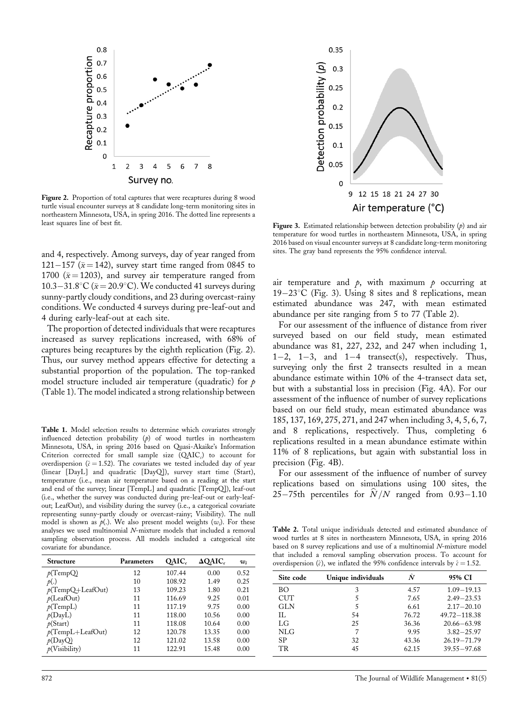

Figure 2. Proportion of total captures that were recaptures during 8 wood turtle visual encounter surveys at 8 candidate long-term monitoring sites in northeastern Minnesota, USA, in spring 2016. The dotted line represents a least squares line of best fit.

and 4, respectively. Among surveys, day of year ranged from 121-157 ( $\bar{x}$  = 142), survey start time ranged from 0845 to 1700 ( $\bar{x}$  = 1203), and survey air temperature ranged from 10.3–31.8°C ( $\bar{x}$  = 20.9°C). We conducted 41 surveys during sunny-partly cloudy conditions, and 23 during overcast-rainy conditions. We conducted 4 surveys during pre-leaf-out and 4 during early-leaf-out at each site.

The proportion of detected individuals that were recaptures increased as survey replications increased, with 68% of captures being recaptures by the eighth replication (Fig. 2). Thus, our survey method appears effective for detecting a substantial proportion of the population. The top-ranked model structure included air temperature (quadratic) for  $p$ (Table 1). The model indicated a strong relationship between

Table 1. Model selection results to determine which covariates strongly influenced detection probability  $(p)$  of wood turtles in northeastern Minnesota, USA, in spring 2016 based on Quasi-Akaike's Information Criterion corrected for small sample size  $(QAIC<sub>c</sub>)$  to account for overdispersion ( $\hat{c} = 1.52$ ). The covariates we tested included day of year (linear [DayL] and quadratic [DayQ]), survey start time (Start), temperature (i.e., mean air temperature based on a reading at the start and end of the survey; linear [TempL] and quadratic [TempQ]), leaf-out (i.e., whether the survey was conducted during pre-leaf-out or early-leafout; LeafOut), and visibility during the survey (i.e., a categorical covariate representing sunny-partly cloudy or overcast-rainy; Visibility). The null model is shown as  $p(.)$ . We also present model weights  $(w_i)$ . For these analyses we used multinomial N-mixture models that included a removal sampling observation process. All models included a categorical site covariate for abundance.

| <b>Structure</b>    | <b>Parameters</b> | OAIC.  | $\Delta$ OAIC. | w;   |
|---------------------|-------------------|--------|----------------|------|
| p(TempQ)            | 12                | 107.44 | 0.00           | 0.52 |
| p(.)                | 10                | 108.92 | 1.49           | 0.25 |
| $p(TempQ+LeafOut)$  | 13                | 109.23 | 1.80           | 0.21 |
| p(LeafOut)          | 11                | 116.69 | 9.25           | 0.01 |
| p(TempL)            | 11                | 117.19 | 9.75           | 0.00 |
| p(DayL)             | 11                | 118.00 | 10.56          | 0.00 |
| p(Start)            | 11                | 118.08 | 10.64          | 0.00 |
| $p(TempL+LeafOut)$  | 12                | 120.78 | 13.35          | 0.00 |
| p(DayQ)             | 12                | 121.02 | 13.58          | 0.00 |
| $\rho$ (Visibility) | 11                | 122.91 | 15.48          | 0.00 |



Figure 3. Estimated relationship between detection probability  $(p)$  and air temperature for wood turtles in northeastern Minnesota, USA, in spring 2016 based on visual encounter surveys at 8 candidate long-term monitoring sites. The gray band represents the 95% confidence interval.

air temperature and  $\rho$ , with maximum  $\rho$  occurring at  $19-23$ °C (Fig. 3). Using 8 sites and 8 replications, mean estimated abundance was 247, with mean estimated abundance per site ranging from 5 to 77 (Table 2).

For our assessment of the influence of distance from river surveyed based on our field study, mean estimated abundance was 81, 227, 232, and 247 when including 1,  $1-2$ ,  $1-3$ , and  $1-4$  transect(s), respectively. Thus, surveying only the first 2 transects resulted in a mean abundance estimate within 10% of the 4-transect data set, but with a substantial loss in precision (Fig. 4A). For our assessment of the influence of number of survey replications based on our field study, mean estimated abundance was 185, 137, 169, 275, 271, and 247 when including 3, 4, 5, 6, 7, and 8 replications, respectively. Thus, completing 6 replications resulted in a mean abundance estimate within 11% of 8 replications, but again with substantial loss in precision (Fig. 4B).

For our assessment of the influence of number of survey replications based on simulations using 100 sites, the 25–75th percentiles for  $\hat{N}/N$  ranged from 0.93–1.10

Table 2. Total unique individuals detected and estimated abundance of wood turtles at 8 sites in northeastern Minnesota, USA, in spring 2016 based on 8 survey replications and use of a multinomial N-mixture model that included a removal sampling observation process. To account for overdispersion ( $\hat{c}$ ), we inflated the 95% confidence intervals by  $\hat{c} = 1.52$ .

| Site code  | Unique individuals | Ñ     | 95% CI          |
|------------|--------------------|-------|-----------------|
| BО         | 3                  | 4.57  | $1.09 - 19.13$  |
| <b>CUT</b> | 5                  | 7.65  | $2.49 - 23.53$  |
| <b>GLN</b> | 5                  | 6.61  | $2.17 - 20.10$  |
| H.         | 54                 | 76.72 | 49.72 - 118.38  |
| LG         | 25                 | 36.36 | $20.66 - 63.98$ |
| NLG        | 7                  | 9.95  | $3.82 - 25.97$  |
| SP         | 32                 | 43.36 | $26.19 - 71.79$ |
| TR.        | 45                 | 62.15 | $39.55 - 97.68$ |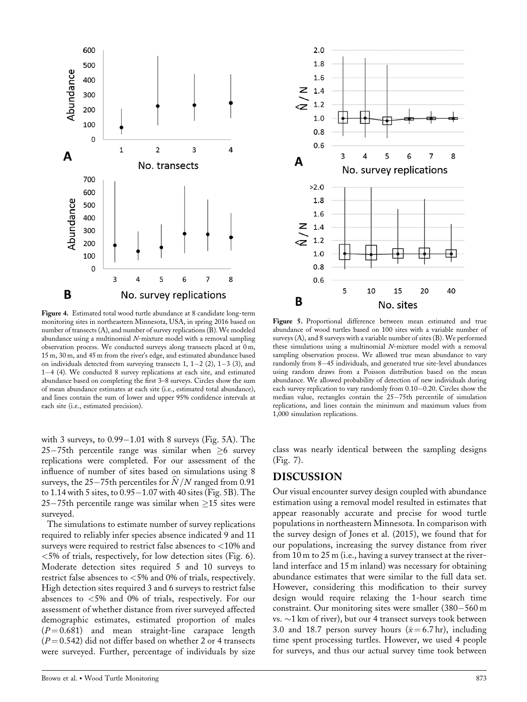

Figure 4. Estimated total wood turtle abundance at 8 candidate long-term monitoring sites in northeastern Minnesota, USA, in spring 2016 based on number of transects  $(A)$ , and number of survey replications  $(B)$ . We modeled abundance using a multinomial  $N$ -mixture model with a removal sampling observation process. We conducted surveys along transects placed at 0 m, 15 m, 30 m, and 45 m from the river's edge, and estimated abundance based on individuals detected from surveying transects 1,  $1-2$  (2),  $1-3$  (3), and  $1-4$  (4). We conducted 8 survey replications at each site, and estimated abundance based on completing the first 3–8 surveys. Circles show the sum of mean abundance estimates at each site (i.e., estimated total abundance), and lines contain the sum of lower and upper 95% confidence intervals at each site (i.e., estimated precision).

with 3 surveys, to  $0.99-1.01$  with 8 surveys (Fig. 5A). The 25-75th percentile range was similar when  $\geq 6$  survey replications were completed. For our assessment of the influence of number of sites based on simulations using 8 surveys, the 25–75th percentiles for  $\hat N/N$  ranged from 0.91 to 1.14 with 5 sites, to  $0.95-1.07$  with 40 sites (Fig. 5B). The 25–75th percentile range was similar when  $\geq$ 15 sites were surveyed.

The simulations to estimate number of survey replications required to reliably infer species absence indicated 9 and 11 surveys were required to restrict false absences to <10% and  $<$  5% of trials, respectively, for low detection sites (Fig. 6). Moderate detection sites required 5 and 10 surveys to restrict false absences to <5% and 0% of trials, respectively. High detection sites required 3 and 6 surveys to restrict false absences to <5% and 0% of trials, respectively. For our assessment of whether distance from river surveyed affected demographic estimates, estimated proportion of males  $(P = 0.681)$  and mean straight-line carapace length  $(P = 0.542)$  did not differ based on whether 2 or 4 transects were surveyed. Further, percentage of individuals by size



Figure 5. Proportional difference between mean estimated and true abundance of wood turtles based on 100 sites with a variable number of surveys (A), and 8 surveys with a variable number of sites (B). We performed these simulations using a multinomial N-mixture model with a removal sampling observation process. We allowed true mean abundance to vary randomly from 8-45 individuals, and generated true site-level abundances using random draws from a Poisson distribution based on the mean abundance. We allowed probability of detection of new individuals during each survey replication to vary randomly from  $0.10-0.20$ . Circles show the median value, rectangles contain the  $25-75$ th percentile of simulation replications, and lines contain the minimum and maximum values from 1,000 simulation replications.

class was nearly identical between the sampling designs (Fig. 7).

#### DISCUSSION

Our visual encounter survey design coupled with abundance estimation using a removal model resulted in estimates that appear reasonably accurate and precise for wood turtle populations in northeastern Minnesota. In comparison with the survey design of Jones et al. (2015), we found that for our populations, increasing the survey distance from river from 10 m to 25 m (i.e., having a survey transect at the riverland interface and 15 m inland) was necessary for obtaining abundance estimates that were similar to the full data set. However, considering this modification to their survey design would require relaxing the 1-hour search time constraint. Our monitoring sites were smaller  $(380-560 \,\mathrm{m})$ vs.  $\sim$ 1 km of river), but our 4 transect surveys took between 3.0 and 18.7 person survey hours ( $\bar{x} = 6.7$  hr), including time spent processing turtles. However, we used 4 people for surveys, and thus our actual survey time took between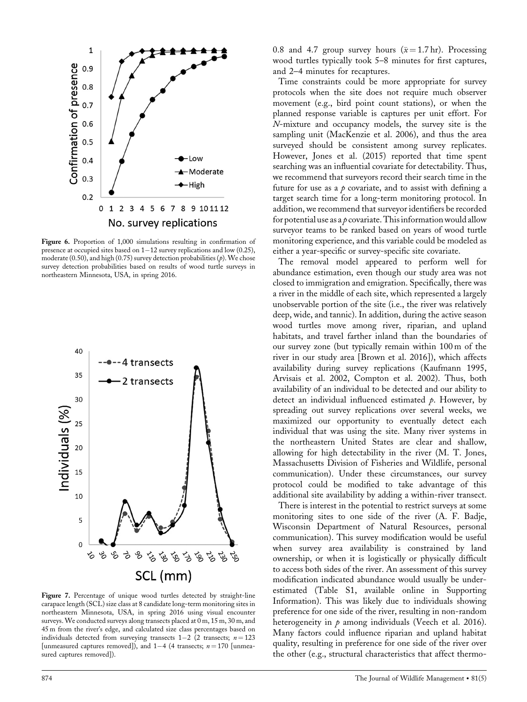

Figure 6. Proportion of 1,000 simulations resulting in confirmation of presence at occupied sites based on  $1-12$  survey replications and low (0.25), moderate (0.50), and high (0.75) survey detection probabilities ( $p$ ). We chose survey detection probabilities based on results of wood turtle surveys in northeastern Minnesota, USA, in spring 2016.



Figure 7. Percentage of unique wood turtles detected by straight-line carapace length (SCL) size class at 8 candidate long-term monitoring sites in northeastern Minnesota, USA, in spring 2016 using visual encounter surveys. We conducted surveys along transects placed at 0 m, 15 m, 30 m, and 45 m from the river's edge, and calculated size class percentages based on individuals detected from surveying transects  $1-2$  (2 transects;  $n = 123$ [unmeasured captures removed]), and  $1-4$  (4 transects;  $n = 170$  [unmeasured captures removed]).

0.8 and 4.7 group survey hours  $(\bar{x} = 1.7 \text{ hr})$ . Processing wood turtles typically took 5–8 minutes for first captures, and 2–4 minutes for recaptures.

Time constraints could be more appropriate for survey protocols when the site does not require much observer movement (e.g., bird point count stations), or when the planned response variable is captures per unit effort. For N-mixture and occupancy models, the survey site is the sampling unit (MacKenzie et al. 2006), and thus the area surveyed should be consistent among survey replicates. However, Jones et al. (2015) reported that time spent searching was an influential covariate for detectability. Thus, we recommend that surveyors record their search time in the future for use as a  $p$  covariate, and to assist with defining a target search time for a long-term monitoring protocol. In addition, we recommend that surveyor identifiers be recorded for potential use as a  $\rho$  covariate. This information would allow surveyor teams to be ranked based on years of wood turtle monitoring experience, and this variable could be modeled as either a year-specific or survey-specific site covariate.

The removal model appeared to perform well for abundance estimation, even though our study area was not closed to immigration and emigration. Specifically, there was a river in the middle of each site, which represented a largely unobservable portion of the site (i.e., the river was relatively deep, wide, and tannic). In addition, during the active season wood turtles move among river, riparian, and upland habitats, and travel farther inland than the boundaries of our survey zone (but typically remain within 100 m of the river in our study area [Brown et al. 2016]), which affects availability during survey replications (Kaufmann 1995, Arvisais et al. 2002, Compton et al. 2002). Thus, both availability of an individual to be detected and our ability to detect an individual influenced estimated  $\rho$ . However, by spreading out survey replications over several weeks, we maximized our opportunity to eventually detect each individual that was using the site. Many river systems in the northeastern United States are clear and shallow, allowing for high detectability in the river (M. T. Jones, Massachusetts Division of Fisheries and Wildlife, personal communication). Under these circumstances, our survey protocol could be modified to take advantage of this additional site availability by adding a within-river transect.

There is interest in the potential to restrict surveys at some monitoring sites to one side of the river (A. F. Badje, Wisconsin Department of Natural Resources, personal communication). This survey modification would be useful when survey area availability is constrained by land ownership, or when it is logistically or physically difficult to access both sides of the river. An assessment of this survey modification indicated abundance would usually be underestimated (Table S1, available online in Supporting Information). This was likely due to individuals showing preference for one side of the river, resulting in non-random heterogeneity in  $\rho$  among individuals (Veech et al. 2016). Many factors could influence riparian and upland habitat quality, resulting in preference for one side of the river over the other (e.g., structural characteristics that affect thermo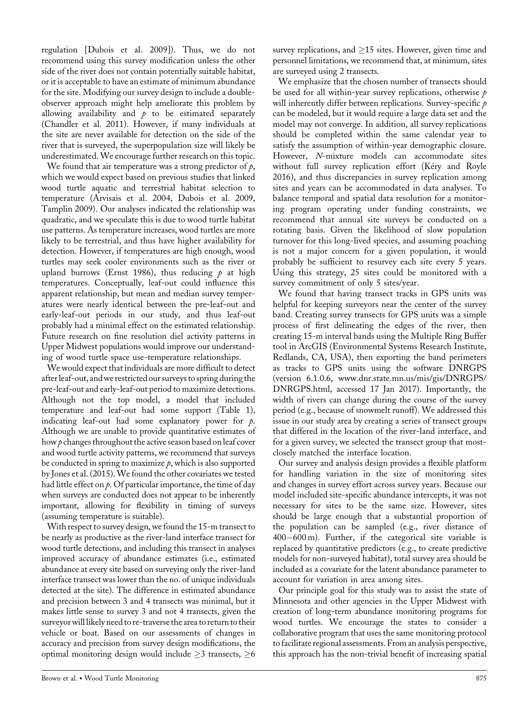regulation [Dubois et al. 2009]). Thus, we do not recommend using this survey modification unless the other side of the river does not contain potentially suitable habitat, or it is acceptable to have an estimate of minimum abundance for the site. Modifying our survey design to include a doubleobserver approach might help ameliorate this problem by allowing availability and  $\phi$  to be estimated separately (Chandler et al. 2011). However, if many individuals at the site are never available for detection on the side of the river that is surveyed, the superpopulation size will likely be underestimated. We encourage further research on this topic.

We found that air temperature was a strong predictor of  $p$ , which we would expect based on previous studies that linked wood turtle aquatic and terrestrial habitat selection to temperature (Arvisais et al. 2004, Dubois et al. 2009, Tamplin 2009). Our analyses indicated the relationship was quadratic, and we speculate this is due to wood turtle habitat use patterns. As temperature increases, wood turtles are more likely to be terrestrial, and thus have higher availability for detection. However, if temperatures are high enough, wood turtles may seek cooler environments such as the river or upland burrows (Ernst 1986), thus reducing  $p$  at high temperatures. Conceptually, leaf-out could influence this apparent relationship, but mean and median survey temperatures were nearly identical between the pre-leaf-out and early-leaf-out periods in our study, and thus leaf-out probably had a minimal effect on the estimated relationship. Future research on fine resolution diel activity patterns in Upper Midwest populations would improve our understanding of wood turtle space use-temperature relationships.

We would expect that individuals are more difficult to detect afterleaf-out, andwe restricted our surveys to spring during the pre-leaf-out and early-leaf-out period to maximize detections. Although not the top model, a model that included temperature and leaf-out had some support (Table 1), indicating leaf-out had some explanatory power for  $p$ . Although we are unable to provide quantitative estimates of how  $\rho$  changes throughout the active season based on leaf cover and wood turtle activity patterns, we recommend that surveys be conducted in spring to maximize  $\rho$ , which is also supported by Jones et al. (2015). We found the other covariates we tested had little effect on  $p$ . Of particular importance, the time of day when surveys are conducted does not appear to be inherently important, allowing for flexibility in timing of surveys (assuming temperature is suitable).

With respect to survey design, we found the 15-m transect to be nearly as productive as the river-land interface transect for wood turtle detections, and including this transect in analyses improved accuracy of abundance estimates (i.e., estimated abundance at every site based on surveying only the river-land interface transect was lower than the no. of unique individuals detected at the site). The difference in estimated abundance and precision between 3 and 4 transects was minimal, but it makes little sense to survey 3 and not 4 transects, given the surveyorwill likely need to re-traverse the area to return to their vehicle or boat. Based on our assessments of changes in accuracy and precision from survey design modifications, the optimal monitoring design would include  $\geq 3$  transects,  $\geq 6$  survey replications, and  $\geq$ 15 sites. However, given time and personnel limitations, we recommend that, at minimum, sites are surveyed using 2 transects.

We emphasize that the chosen number of transects should be used for all within-year survey replications, otherwise  $p$ will inherently differ between replications. Survey-specific  $p$ can be modeled, but it would require a large data set and the model may not converge. In addition, all survey replications should be completed within the same calendar year to satisfy the assumption of within-year demographic closure. However, N-mixture models can accommodate sites without full survey replication effort (Kéry and Royle 2016), and thus discrepancies in survey replication among sites and years can be accommodated in data analyses. To balance temporal and spatial data resolution for a monitoring program operating under funding constraints, we recommend that annual site surveys be conducted on a rotating basis. Given the likelihood of slow population turnover for this long-lived species, and assuming poaching is not a major concern for a given population, it would probably be sufficient to resurvey each site every 5 years. Using this strategy, 25 sites could be monitored with a survey commitment of only 5 sites/year.

We found that having transect tracks in GPS units was helpful for keeping surveyors near the center of the survey band. Creating survey transects for GPS units was a simple process of first delineating the edges of the river, then creating 15-m interval bands using the Multiple Ring Buffer tool in ArcGIS (Environmental Systems Research Institute, Redlands, CA, USA), then exporting the band perimeters as tracks to GPS units using the software DNRGPS (version 6.1.0.6, [www.dnr.state.mn.us/mis/gis/DNRGPS/](http://www.dnr.state.mn.us/mis/gis/DNRGPS/DNRGPS.html) [DNRGPS.html,](http://www.dnr.state.mn.us/mis/gis/DNRGPS/DNRGPS.html) accessed 17 Jan 2017). Importantly, the width of rivers can change during the course of the survey period (e.g., because of snowmelt runoff). We addressed this issue in our study area by creating a series of transect groups that differed in the location of the river-land interface, and for a given survey, we selected the transect group that mostclosely matched the interface location.

Our survey and analysis design provides a flexible platform for handling variation in the size of monitoring sites and changes in survey effort across survey years. Because our model included site-specific abundance intercepts, it was not necessary for sites to be the same size. However, sites should be large enough that a substantial proportion of the population can be sampled (e.g., river distance of  $400-600$  m). Further, if the categorical site variable is replaced by quantitative predictors (e.g., to create predictive models for non-surveyed habitat), total survey area should be included as a covariate for the latent abundance parameter to account for variation in area among sites.

Our principle goal for this study was to assist the state of Minnesota and other agencies in the Upper Midwest with creation of long-term abundance monitoring programs for wood turtles. We encourage the states to consider a collaborative program that uses the same monitoring protocol to facilitate regional assessments. From an analysis perspective, this approach has the non-trivial benefit of increasing spatial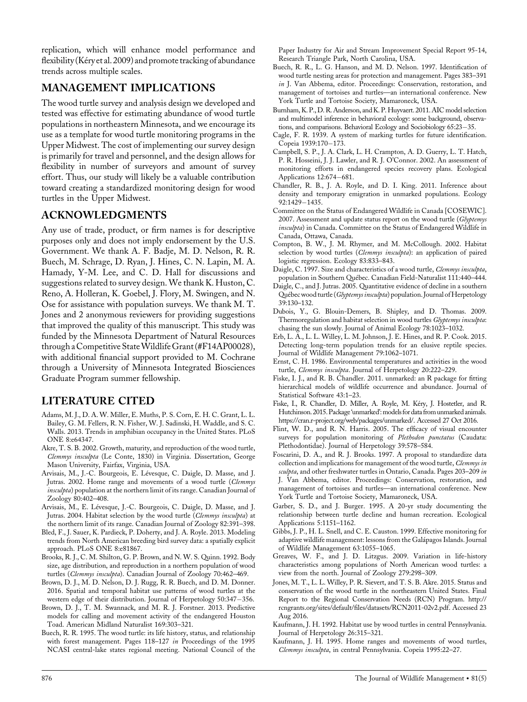replication, which will enhance model performance and flexibility (Kéry et al. 2009) and promote tracking of abundance trends across multiple scales.

## MANAGEMENT IMPLICATIONS

The wood turtle survey and analysis design we developed and tested was effective for estimating abundance of wood turtle populations in northeastern Minnesota, and we encourage its use as a template for wood turtle monitoring programs in the Upper Midwest. The cost of implementing our survey design is primarily for travel and personnel, and the design allows for flexibility in number of surveyors and amount of survey effort. Thus, our study will likely be a valuable contribution toward creating a standardized monitoring design for wood turtles in the Upper Midwest.

## ACKNOWLEDGMENTS

Any use of trade, product, or firm names is for descriptive purposes only and does not imply endorsement by the U.S. Government. We thank A. F. Badje, M. D. Nelson, R. R. Buech, M. Schrage, D. Ryan, J. Hines, C. N. Lapin, M. A. Hamady, Y-M. Lee, and C. D. Hall for discussions and suggestions related to survey design. We thank K. Huston, C. Reno, A. Holleran, K. Goebel, J. Flory, M. Swingen, and N. Ose for assistance with population surveys. We thank M. T. Jones and 2 anonymous reviewers for providing suggestions that improved the quality of this manuscript. This study was funded by the Minnesota Department of Natural Resources through a Competitive StateWildlifeGrant (#F14AP00028), with additional financial support provided to M. Cochrane through a University of Minnesota Integrated Biosciences Graduate Program summer fellowship.

## LITERATURE CITED

- Adams, M. J., D. A. W. Miller, E. Muths, P. S. Corn, E. H. C. Grant, L. L. Bailey, G. M. Fellers, R. N. Fisher, W. J. Sadinski, H. Waddle, and S. C. Walls. 2013. Trends in amphibian occupancy in the United States. PLoS ONE 8:e64347.
- Akre, T. S. B. 2002. Growth, maturity, and reproduction of the wood turtle, Clemmys insculpta (Le Conte, 1830) in Virginia. Dissertation, George Mason University, Fairfax, Virginia, USA.
- Arvisais, M., J.-C. Bourgeois, E. Lévesque, C. Daigle, D. Masse, and J. Jutras. 2002. Home range and movements of a wood turtle (Clemmys insculpta) population at the northern limit of its range. Canadian Journal of Zoology 80:402–408.
- Arvisais, M., E. Lévesque, J.-C. Bourgeois, C. Daigle, D. Masse, and J. Jutras. 2004. Habitat selection by the wood turtle (Clemmys insculpta) at the northern limit of its range. Canadian Journal of Zoology 82:391–398.
- Bled, F., J. Sauer, K. Pardieck, P. Doherty, and J. A. Royle. 2013. Modeling trends from North American breeding bird survey data: a spatially explicit approach. PLoS ONE 8:e81867.
- Brooks, R. J., C. M. Shilton, G. P. Brown, and N. W. S. Quinn. 1992. Body size, age distribution, and reproduction in a northern population of wood turtles (Clemmys insculpta). Canadian Journal of Zoology 70:462–469.
- Brown, D. J., M. D. Nelson, D. J. Rugg, R. R. Buech, and D. M. Donner. 2016. Spatial and temporal habitat use patterns of wood turtles at the western edge of their distribution. Journal of Herpetology 50:347-356.
- Brown, D. J., T. M. Swannack, and M. R. J. Forstner. 2013. Predictive models for calling and movement activity of the endangered Houston Toad. American Midland Naturalist 169:303–321.
- Buech, R. R. 1995. The wood turtle: its life history, status, and relationship with forest management. Pages 118–127 in Proceedings of the 1995 NCASI central-lake states regional meeting. National Council of the

Paper Industry for Air and Stream Improvement Special Report 95-14, Research Triangle Park, North Carolina, USA.

- Buech, R. R., L. G. Hanson, and M. D. Nelson. 1997. Identification of wood turtle nesting areas for protection and management. Pages 383–391 in J. Van Abbema, editor. Proceedings: Conservation, restoration, and management of tortoises and turtles—an international conference. New York Turtle and Tortoise Society, Mamaroneck, USA.
- Burnham, K. P., D. R. Anderson, and K. P. Huyvaert. 2011. AIC model selection and multimodel inference in behavioral ecology: some background, observations, and comparisons. Behavioral Ecology and Sociobiology 65:23-35.
- Cagle, F. R. 1939. A system of marking turtles for future identification. Copeia 1939:170-173.
- Campbell, S. P., J. A. Clark, L. H. Crampton, A. D. Guerry, L. T. Hatch, P. R. Hosseini, J. J. Lawler, and R. J. O'Connor. 2002. An assessment of monitoring efforts in endangered species recovery plans. Ecological Applications 12:674-681.
- Chandler, R. B., J. A. Royle, and D. I. King. 2011. Inference about density and temporary emigration in unmarked populations. Ecology 92:1429-1435.
- Committee on the Status of Endangered Wildlife in Canada [COSEWIC]. 2007. Assessment and update status report on the wood turtle (Glyptemys insculpta) in Canada. Committee on the Status of Endangered Wildlife in Canada, Ottawa, Canada.
- Compton, B. W., J. M. Rhymer, and M. McCollough. 2002. Habitat selection by wood turtles (Clemmys insculpta): an application of paired logistic regression. Ecology 83:833–843.
- Daigle, C. 1997. Size and characteristics of a wood turtle, Clemmys insculpta, population in Southern Quebec. Canadian Field-Naturalist 111:440–444.
- Daigle, C., and J. Jutras. 2005. Quantitative evidence of decline in a southern Québec wood turtle (Glyptemys insculpta) population. Journal of Herpetology 39:130–132.
- Dubois, Y., G. Blouin-Demers, B. Shipley, and D. Thomas. 2009. Thermoregulation and habitat selection in wood turtles Glyptemys insculpta: chasing the sun slowly. Journal of Animal Ecology 78:1023–1032.
- Erb, L. A., L. L. Willey, L. M. Johnson, J. E. Hines, and R. P. Cook. 2015. Detecting long-term population trends for an elusive reptile species. Journal of Wildlife Management 79:1062–1071.
- Ernst, C. H. 1986. Environmental temperatures and activities in the wood turtle, Clemmys insculpta. Journal of Herpetology 20:222–229.
- Fiske, I. J., and R. B. Chandler. 2011. unmarked: an R package for fitting hierarchical models of wildlife occurrence and abundance. Journal of Statistical Software 43:1–23.
- Fiske, I., R. Chandler, D. Miller, A. Royle, M. Kery, J. Hostetler, and R. Hutchinson. 2015. Package 'unmarked': models for data from unmarked animals. [https://cran.r-project.org/web/packages/unmarked/.](https://cran.r-project.org/web/packages/unmarked/) Accessed 27 Oct 2016.
- Flint, W. D., and R. N. Harris. 2005. The efficacy of visual encounter surveys for population monitoring of Plethodon punctatus (Caudata: Plethodontidae). Journal of Herpetology 39:578–584.
- Foscarini, D. A., and R. J. Brooks. 1997. A proposal to standardize data collection and implications for management of the wood turtle, Clemmys in sculpta, and other freshwater turtles in Ontario, Canada. Pages 203-209 in J. Van Abbema, editor. Proceedings: Conservation, restoration, and management of tortoises and turtles—an international conference. New York Turtle and Tortoise Society, Mamaroneck, USA.
- Garber, S. D., and J. Burger. 1995. A 20-yr study documenting the relationship between turtle decline and human recreation. Ecological Applications 5:1151–1162.
- Gibbs, J. P., H. L. Snell, and C. E. Causton. 1999. Effective monitoring for adaptive wildlife management: lessons from the Galápagos Islands. Journal of Wildlife Management 63:1055–1065.
- Greaves, W. F., and J. D. Litzgus. 2009. Variation in life-history characteristics among populations of North American wood turtles: a view from the north. Journal of Zoology 279:298–309.
- Jones, M. T., L. L. Willey, P. R. Sievert, and T. S. B. Akre. 2015. Status and conservation of the wood turtle in the northeastern United States. Final Report to the Regional Conservation Needs (RCN) Program. [http://](http://rcngrants.org/sites/default/files/datasets/RCN2011-02v2.pdf) [rcngrants.org/sites/default/files/datasets/RCN2011-02v2.pdf.](http://rcngrants.org/sites/default/files/datasets/RCN2011-02v2.pdf) Accessed 23 Aug 2016.
- Kaufmann, J. H. 1992. Habitat use by wood turtles in central Pennsylvania. Journal of Herpetology 26:315–321.
- Kaufmann, J. H. 1995. Home ranges and movements of wood turtles, Clemmys insculpta, in central Pennsylvania. Copeia 1995:22–27.